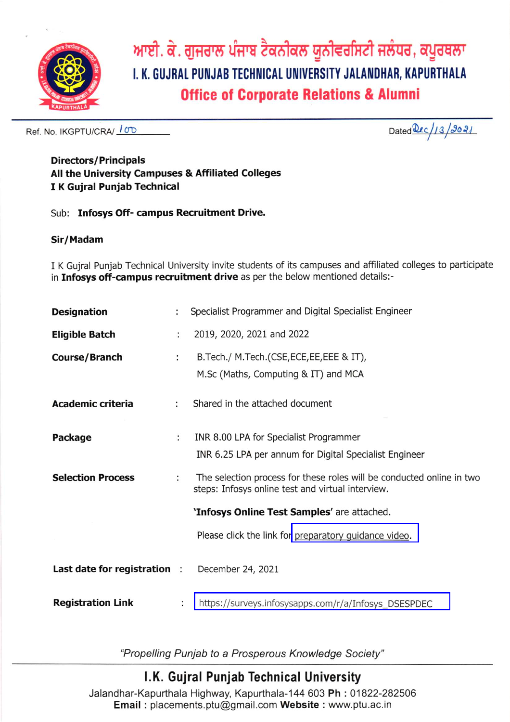

ਆਈ. ਕੇ. ਗੁਜਰਾਲ ਪੰਜਾਬ ਟੈਕਨੀਕਲ ਯੂਨੀਵਰਸਿਟੀ ਜਲੰਧਰ, ਕਪੂਰਥਲਾ I. K. GUJRAL PUNJAB TECHNICAL UNIVERSITY JALANDHAR, KAPURTHALA **Office of Corporate Relations & Alumni** 

Ref. No. IKGPTU/CRA/ OD

Dated  $\frac{q}{q}$  (13/2021)

### **Directors/Principals** All the University Campuses & Affiliated Colleges I K Gujral Punjab Technical

Sub: Infosys Off- campus Recruitment Drive.

#### Sir/Madam

I K Gujral Punjab Technical University invite students of its campuses and affiliated colleges to participate in Infosys off-campus recruitment drive as per the below mentioned details:-

| <b>Designation</b>           |   | Specialist Programmer and Digital Specialist Engineer                                                                      |  |
|------------------------------|---|----------------------------------------------------------------------------------------------------------------------------|--|
| <b>Eligible Batch</b>        |   | 2019, 2020, 2021 and 2022                                                                                                  |  |
| <b>Course/Branch</b>         | ÷ | B.Tech./ M.Tech.(CSE,ECE,EE,EEE & IT),<br>M.Sc (Maths, Computing & IT) and MCA                                             |  |
| Academic criteria            | ÷ | Shared in the attached document                                                                                            |  |
| Package                      | ÷ | INR 8.00 LPA for Specialist Programmer                                                                                     |  |
|                              |   | INR 6.25 LPA per annum for Digital Specialist Engineer                                                                     |  |
| <b>Selection Process</b>     | ÷ | The selection process for these roles will be conducted online in two<br>steps: Infosys online test and virtual interview. |  |
|                              |   | 'Infosys Online Test Samples' are attached.                                                                                |  |
|                              |   | Please click the link for preparatory quidance video.                                                                      |  |
| Last date for registration : |   | December 24, 2021                                                                                                          |  |
| <b>Registration Link</b>     |   | https://surveys.infosysapps.com/r/a/Infosys_DSESPDEC                                                                       |  |

"Propelling Punjab to a Prosperous Knowledge Society"

## I.K. Gujral Punjab Technical University

Jalandhar-Kapurthala Highway, Kapurthala-144 603 Ph: 01822-282506 Email: placements.ptu@gmail.com Website: www.ptu.ac.in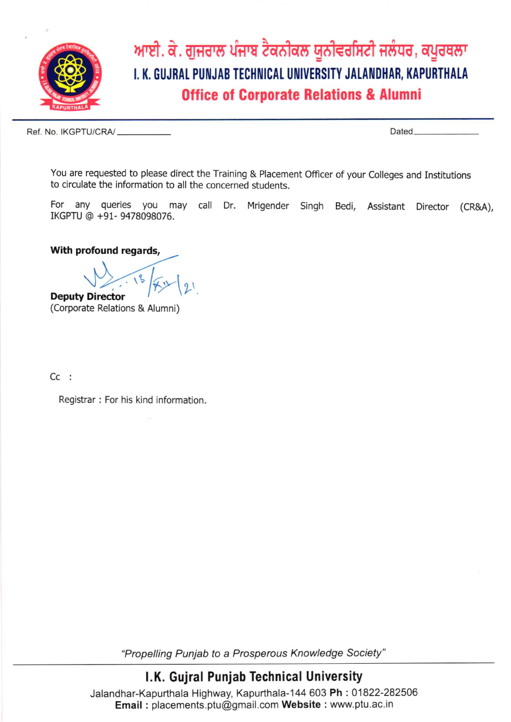

# ਆਈ. ਕੇ. ਗੁਜਰਾਲ ਪੰਜਾਬ ਟੈਕਨੀਕਲ ਯੂਨੀਵਰਸਿਟੀ ਜਲੰਧਰ, ਕਪੂਰਥਲਾ I. K. GUJRAL PUNJAB TECHNICAL UNIVERSITY JALANDHAR, KAPURTHALA **Office of Corporate Relations & Alumni**

Ref. No. IKGPTU/CRA/

Dated

You are requested to please direct the Training & Placement Officer of your Colleges and Institutions to circulate the information to all the concerned students.

For any queries you may call Dr. Mrigender Singh Bedi, Assistant Director  $(CR&A)$ , IKGPTU @ +91- 9478098076.

With profound regards,

**Deputy Director** 

(Corporate Relations & Alumni)

 $Cc$  :

Registrar: For his kind information.

"Propelling Punjab to a Prosperous Knowledge Society"

## I.K. Gujral Punjab Technical University

Jalandhar-Kapurthala Highway, Kapurthala-144 603 Ph: 01822-282506 Email: placements.ptu@gmail.com Website: www.ptu.ac.in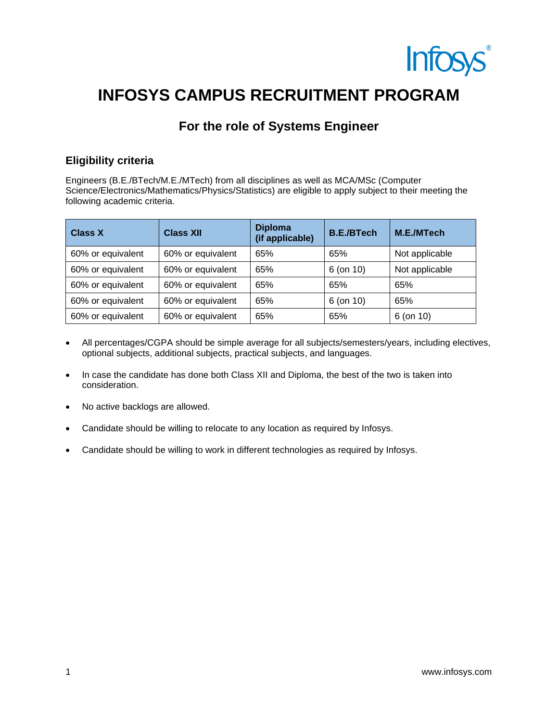**Infosys** 

## **INFOSYS CAMPUS RECRUITMENT PROGRAM**

## **For the role of Systems Engineer**

#### **Eligibility criteria**

Engineers (B.E./BTech/M.E./MTech) from all disciplines as well as MCA/MSc (Computer Science/Electronics/Mathematics/Physics/Statistics) are eligible to apply subject to their meeting the following academic criteria.

| <b>Class X</b>    | <b>Class XII</b>  | <b>Diploma</b><br>(if applicable) | <b>B.E./BTech</b> | <b>M.E./MTech</b> |
|-------------------|-------------------|-----------------------------------|-------------------|-------------------|
| 60% or equivalent | 60% or equivalent | 65%                               | 65%               | Not applicable    |
| 60% or equivalent | 60% or equivalent | 65%                               | $6($ on 10)       | Not applicable    |
| 60% or equivalent | 60% or equivalent | 65%                               | 65%               | 65%               |
| 60% or equivalent | 60% or equivalent | 65%                               | $6($ on 10)       | 65%               |
| 60% or equivalent | 60% or equivalent | 65%                               | 65%               | $6$ (on 10)       |

- All percentages/CGPA should be simple average for all subjects/semesters/years, including electives, optional subjects, additional subjects, practical subjects, and languages.
- In case the candidate has done both Class XII and Diploma, the best of the two is taken into consideration.
- No active backlogs are allowed.
- Candidate should be willing to relocate to any location as required by Infosys.
- Candidate should be willing to work in different technologies as required by Infosys.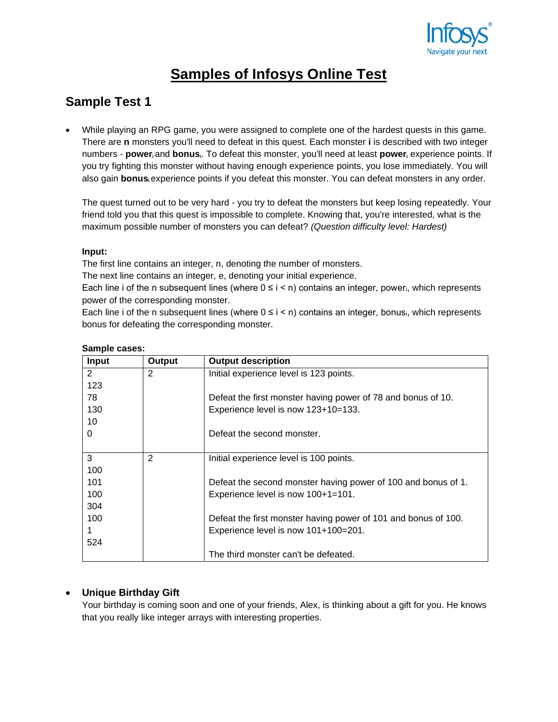

## **Samples of Infosys Online Test**

## **Sample Test 1**

• While playing an RPG game, you were assigned to complete one of the hardest quests in this game. There are **n** monsters you'll need to defeat in this quest. Each monster **i** is described with two integer numbers - **poweri** and **bonusi**. To defeat this monster, you'll need at least **power<sup>i</sup>** experience points. If you try fighting this monster without having enough experience points, you lose immediately. You will also gain **bonusi** experience points if you defeat this monster. You can defeat monsters in any order.

The quest turned out to be very hard - you try to defeat the monsters but keep losing repeatedly. Your friend told you that this quest is impossible to complete. Knowing that, you're interested, what is the maximum possible number of monsters you can defeat? *(Question difficulty level: Hardest)*

#### **Input:**

The first line contains an integer, n, denoting the number of monsters.

The next line contains an integer, e, denoting your initial experience.

Each line i of the n subsequent lines (where  $0 \le i \le n$ ) contains an integer, power, which represents power of the corresponding monster.

Each line i of the n subsequent lines (where  $0 \le i \le n$ ) contains an integer, bonus<sub>i</sub>, which represents bonus for defeating the corresponding monster.

| Input          | Output       | <b>Output description</b>                                      |
|----------------|--------------|----------------------------------------------------------------|
| $\overline{2}$ | $\mathbf{2}$ | Initial experience level is 123 points.                        |
| 123            |              |                                                                |
| 78             |              | Defeat the first monster having power of 78 and bonus of 10.   |
| 130            |              | Experience level is now 123+10=133.                            |
| 10             |              |                                                                |
| 0              |              | Defeat the second monster.                                     |
|                |              |                                                                |
| 3              | 2            | Initial experience level is 100 points.                        |
| 100            |              |                                                                |
| 101            |              | Defeat the second monster having power of 100 and bonus of 1.  |
| 100            |              | Experience level is now 100+1=101.                             |
| 304            |              |                                                                |
| 100            |              | Defeat the first monster having power of 101 and bonus of 100. |
|                |              | Experience level is now 101+100=201.                           |
| 524            |              |                                                                |
|                |              | The third monster can't be defeated.                           |

#### **Sample cases:**

#### • **Unique Birthday Gift**

Your birthday is coming soon and one of your friends, Alex, is thinking about a gift for you. He knows that you really like integer arrays with interesting properties.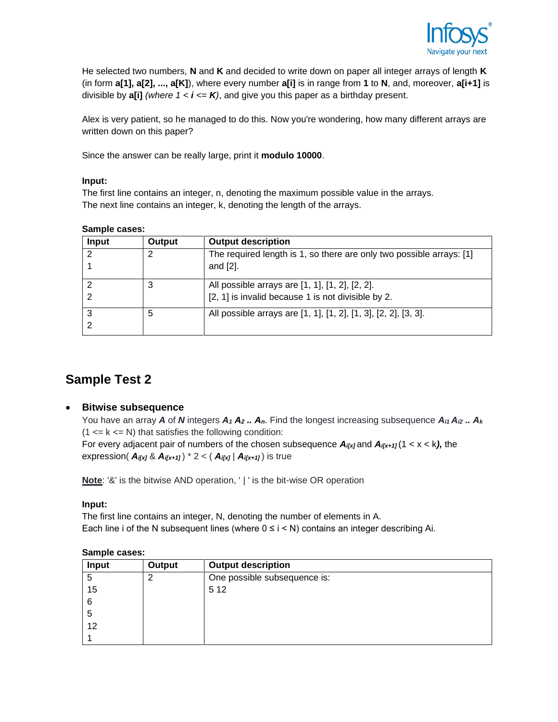

He selected two numbers, **N** and **K** and decided to write down on paper all integer arrays of length **K** (in form **a[1], a[2], ..., a[K]**), where every number **a[i]** is in range from **1** to **N**, and, moreover, **a[i+1]** is divisible by **a[i]** *(where 1 < i <= K)*, and give you this paper as a birthday present.

Alex is very patient, so he managed to do this. Now you're wondering, how many different arrays are written down on this paper?

Since the answer can be really large, print it **modulo 10000**.

#### **Input:**

The first line contains an integer, n, denoting the maximum possible value in the arrays. The next line contains an integer, k, denoting the length of the arrays.

| Input | Output | <b>Output description</b>                                            |
|-------|--------|----------------------------------------------------------------------|
| 2     | 2      | The required length is 1, so there are only two possible arrays: [1] |
|       |        | and $[2]$ .                                                          |
| ົ     | 3      | All possible arrays are [1, 1], [1, 2], [2, 2].                      |
|       |        | [2, 1] is invalid because 1 is not divisible by 2.                   |
| 3     | 5      | All possible arrays are [1, 1], [1, 2], [1, 3], [2, 2], [3, 3].      |
|       |        |                                                                      |

#### **Sample cases:**

### **Sample Test 2**

#### • **Bitwise subsequence**

You have an array *A* of *N* integers *A<sup>1</sup> A<sup>2</sup> .. An*. Find the longest increasing subsequence *Ai1 Ai2 .. A<sup>k</sup>*  $(1 \le k \le N)$  that satisfies the following condition: For every adjacent pair of numbers of the chosen subsequence  $A_{ikx}$  and  $A_{ikx+1}$  (1 < x < k), the

expression( $A_{i[x]} \& A_{i[x+1]}$ ) \* 2 < ( $A_{i[x]} | A_{i[x+1]}$ ) is true

**Note**: '&' is the bitwise AND operation, ' | ' is the bit-wise OR operation

#### **Input:**

The first line contains an integer, N, denoting the number of elements in A. Each line i of the N subsequent lines (where  $0 \le i \le N$ ) contains an integer describing Ai.

| Input | Output | <b>Output description</b>    |
|-------|--------|------------------------------|
| 5     | 2      | One possible subsequence is: |
| 15    |        | 5 1 2                        |
| 6     |        |                              |
| 5     |        |                              |
| 12    |        |                              |
|       |        |                              |

#### **Sample cases:**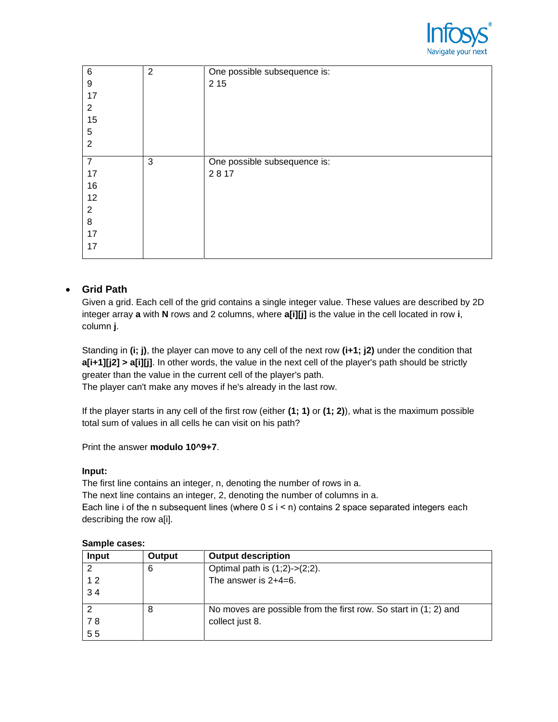

| 6              | $\overline{2}$ | One possible subsequence is: |
|----------------|----------------|------------------------------|
| 9              |                | 2 1 5                        |
| 17             |                |                              |
| 2              |                |                              |
| 15             |                |                              |
| 5              |                |                              |
| $\overline{2}$ |                |                              |
| $\overline{7}$ | $\mathbf{3}$   | One possible subsequence is: |
| 17             |                | 2817                         |
| 16             |                |                              |
| 12             |                |                              |
| 2              |                |                              |
| 8              |                |                              |
| 17             |                |                              |
| 17             |                |                              |
|                |                |                              |

#### • **Grid Path**

Given a grid. Each cell of the grid contains a single integer value. These values are described by 2D integer array **a** with **N** rows and 2 columns, where **a[i][j]** is the value in the cell located in row **i**, column **j**.

Standing in **(i; j)**, the player can move to any cell of the next row **(i+1; j2)** under the condition that **a[i+1][j2] > a[i][j]**. In other words, the value in the next cell of the player's path should be strictly greater than the value in the current cell of the player's path.

The player can't make any moves if he's already in the last row.

If the player starts in any cell of the first row (either **(1; 1)** or **(1; 2)**), what is the maximum possible total sum of values in all cells he can visit on his path?

Print the answer **modulo 10^9+7**.

#### **Input:**

The first line contains an integer, n, denoting the number of rows in a.

The next line contains an integer, 2, denoting the number of columns in a.

Each line i of the n subsequent lines (where  $0 \le i \le n$ ) contains 2 space separated integers each describing the row a[i].

| <b>Input</b> | Output | <b>Output description</b>                                        |
|--------------|--------|------------------------------------------------------------------|
|              | 6      | Optimal path is $(1,2)$ -> $(2,2)$ .                             |
| 12           |        | The answer is $2+4=6$ .                                          |
| 34           |        |                                                                  |
|              | 8      | No moves are possible from the first row. So start in (1; 2) and |
| 78           |        | collect just 8.                                                  |
| 55           |        |                                                                  |

#### **Sample cases:**